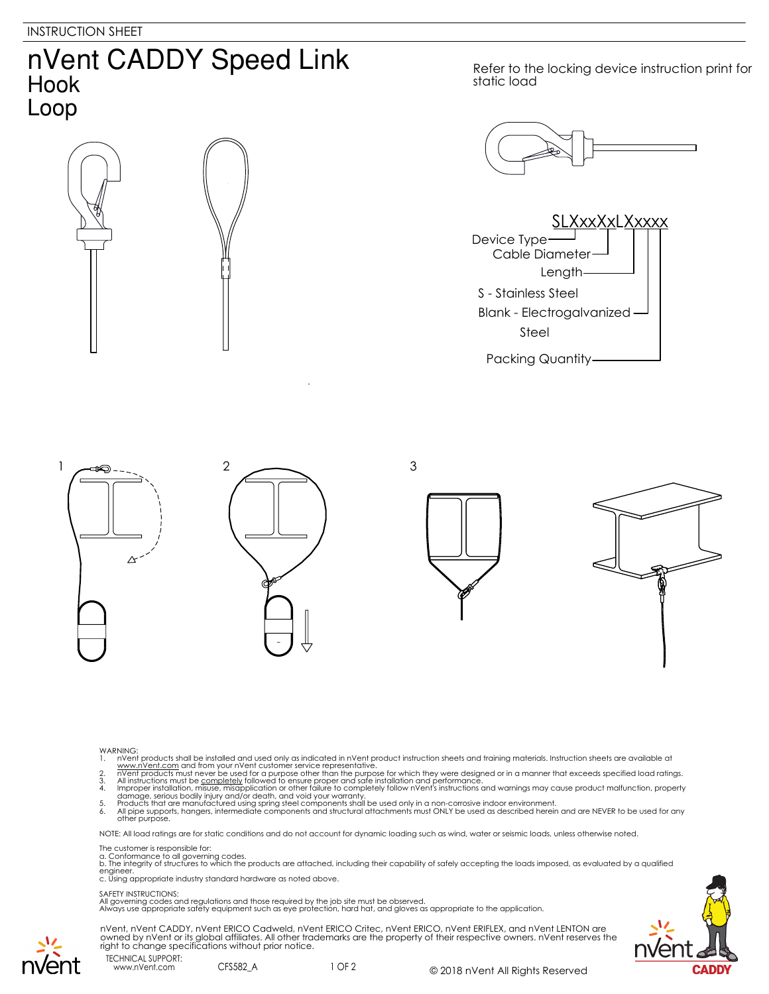## nVent CADDY Speed Link Hook Loop

Refer to the locking device instruction print for static load







- 
- 
- WARNING:<br>
1. Note that products shall be installed and used only as indicated in nVent product instruction sheets and training materials. Instruction sheets are available at<br>
1. www.nVent.com and from your nVent customer s
- 
- 

NOTE: All load ratings are for static conditions and do not account for dynamic loading such as wind, water or seismic loads, unless otherwise noted.

## The customer is responsible for:

a. Conformance to all governing codes.<br>b. The integrity of structures to which the products are attached, including their capability of safely accepting the loads imposed, as evaluated by a qualified engineer. c. Using appropriate industry standard hardware as noted above.

## SAFETY INSTRUCTIONS:

All governing codes and regulations and those required by the job site must be observed. Always use appropriate safety equipment such as eye protection, hard hat, and gloves as appropriate to the application.



nVent, nVent CADDY, nVent ERICO Cadweld, nVent ERICO Critec, nVent ERICO, nVent ERIFLEX, and nVent LENTON are owned by nVent or its global affiliates. All other trademarks are the property of their respective owners. nVent reserves the right to change specifications without prior notice.

TECHNICAL SUPPORT: www.nVent.com CFS582\_A

vent

1 OF 2 © 2018 nVent All Rights Reserved